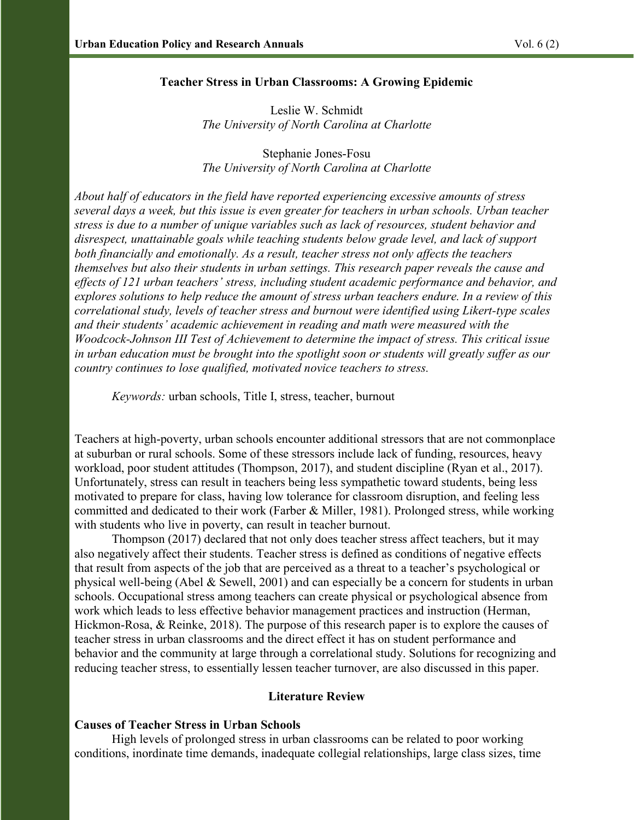### Teacher Stress in Urban Classrooms: A Growing Epidemic

Leslie W. Schmidt The University of North Carolina at Charlotte

Stephanie Jones-Fosu The University of North Carolina at Charlotte

About half of educators in the field have reported experiencing excessive amounts of stress several days a week, but this issue is even greater for teachers in urban schools. Urban teacher stress is due to a number of unique variables such as lack of resources, student behavior and disrespect, unattainable goals while teaching students below grade level, and lack of support both financially and emotionally. As a result, teacher stress not only affects the teachers themselves but also their students in urban settings. This research paper reveals the cause and effects of 121 urban teachers' stress, including student academic performance and behavior, and explores solutions to help reduce the amount of stress urban teachers endure. In a review of this correlational study, levels of teacher stress and burnout were identified using Likert-type scales and their students' academic achievement in reading and math were measured with the Woodcock-Johnson III Test of Achievement to determine the impact of stress. This critical issue in urban education must be brought into the spotlight soon or students will greatly suffer as our country continues to lose qualified, motivated novice teachers to stress.

Keywords: urban schools, Title I, stress, teacher, burnout

Teachers at high-poverty, urban schools encounter additional stressors that are not commonplace at suburban or rural schools. Some of these stressors include lack of funding, resources, heavy workload, poor student attitudes (Thompson, 2017), and student discipline (Ryan et al., 2017). Unfortunately, stress can result in teachers being less sympathetic toward students, being less motivated to prepare for class, having low tolerance for classroom disruption, and feeling less committed and dedicated to their work (Farber & Miller, 1981). Prolonged stress, while working with students who live in poverty, can result in teacher burnout.

 Thompson (2017) declared that not only does teacher stress affect teachers, but it may also negatively affect their students. Teacher stress is defined as conditions of negative effects that result from aspects of the job that are perceived as a threat to a teacher's psychological or physical well-being (Abel & Sewell, 2001) and can especially be a concern for students in urban schools. Occupational stress among teachers can create physical or psychological absence from work which leads to less effective behavior management practices and instruction (Herman, Hickmon-Rosa, & Reinke, 2018). The purpose of this research paper is to explore the causes of teacher stress in urban classrooms and the direct effect it has on student performance and behavior and the community at large through a correlational study. Solutions for recognizing and reducing teacher stress, to essentially lessen teacher turnover, are also discussed in this paper.

# Literature Review

# Causes of Teacher Stress in Urban Schools

High levels of prolonged stress in urban classrooms can be related to poor working conditions, inordinate time demands, inadequate collegial relationships, large class sizes, time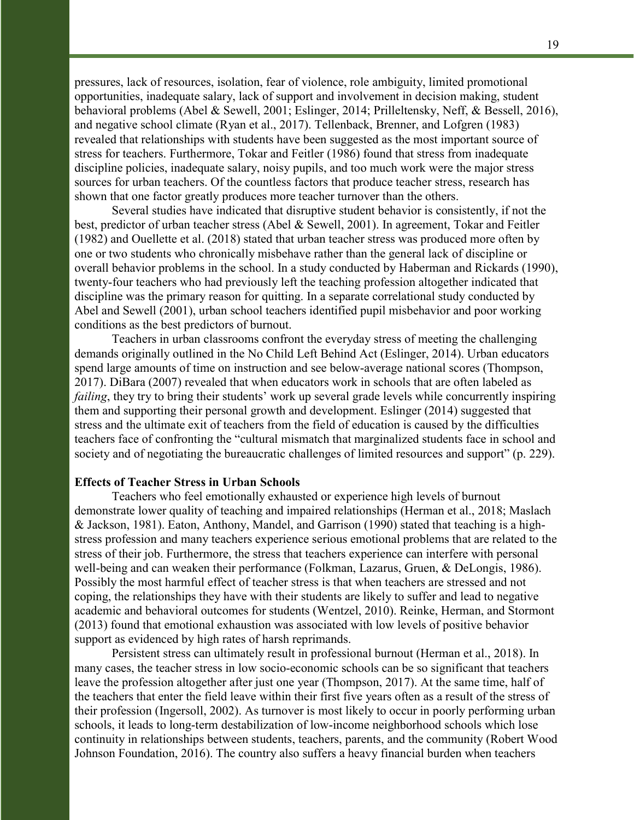pressures, lack of resources, isolation, fear of violence, role ambiguity, limited promotional opportunities, inadequate salary, lack of support and involvement in decision making, student behavioral problems (Abel & Sewell, 2001; Eslinger, 2014; Prilleltensky, Neff, & Bessell, 2016), and negative school climate (Ryan et al., 2017). Tellenback, Brenner, and Lofgren (1983) revealed that relationships with students have been suggested as the most important source of stress for teachers. Furthermore, Tokar and Feitler (1986) found that stress from inadequate discipline policies, inadequate salary, noisy pupils, and too much work were the major stress sources for urban teachers. Of the countless factors that produce teacher stress, research has shown that one factor greatly produces more teacher turnover than the others.

 Several studies have indicated that disruptive student behavior is consistently, if not the best, predictor of urban teacher stress (Abel & Sewell, 2001). In agreement, Tokar and Feitler (1982) and Ouellette et al. (2018) stated that urban teacher stress was produced more often by one or two students who chronically misbehave rather than the general lack of discipline or overall behavior problems in the school. In a study conducted by Haberman and Rickards (1990), twenty-four teachers who had previously left the teaching profession altogether indicated that discipline was the primary reason for quitting. In a separate correlational study conducted by Abel and Sewell (2001), urban school teachers identified pupil misbehavior and poor working conditions as the best predictors of burnout.

 Teachers in urban classrooms confront the everyday stress of meeting the challenging demands originally outlined in the No Child Left Behind Act (Eslinger, 2014). Urban educators spend large amounts of time on instruction and see below-average national scores (Thompson, 2017). DiBara (2007) revealed that when educators work in schools that are often labeled as failing, they try to bring their students' work up several grade levels while concurrently inspiring them and supporting their personal growth and development. Eslinger (2014) suggested that stress and the ultimate exit of teachers from the field of education is caused by the difficulties teachers face of confronting the "cultural mismatch that marginalized students face in school and society and of negotiating the bureaucratic challenges of limited resources and support" (p. 229).

### Effects of Teacher Stress in Urban Schools

Teachers who feel emotionally exhausted or experience high levels of burnout demonstrate lower quality of teaching and impaired relationships (Herman et al., 2018; Maslach & Jackson, 1981). Eaton, Anthony, Mandel, and Garrison (1990) stated that teaching is a highstress profession and many teachers experience serious emotional problems that are related to the stress of their job. Furthermore, the stress that teachers experience can interfere with personal well-being and can weaken their performance (Folkman, Lazarus, Gruen, & DeLongis, 1986). Possibly the most harmful effect of teacher stress is that when teachers are stressed and not coping, the relationships they have with their students are likely to suffer and lead to negative academic and behavioral outcomes for students (Wentzel, 2010). Reinke, Herman, and Stormont (2013) found that emotional exhaustion was associated with low levels of positive behavior support as evidenced by high rates of harsh reprimands.

Persistent stress can ultimately result in professional burnout (Herman et al., 2018). In many cases, the teacher stress in low socio-economic schools can be so significant that teachers leave the profession altogether after just one year (Thompson, 2017). At the same time, half of the teachers that enter the field leave within their first five years often as a result of the stress of their profession (Ingersoll, 2002). As turnover is most likely to occur in poorly performing urban schools, it leads to long-term destabilization of low-income neighborhood schools which lose continuity in relationships between students, teachers, parents, and the community (Robert Wood Johnson Foundation, 2016). The country also suffers a heavy financial burden when teachers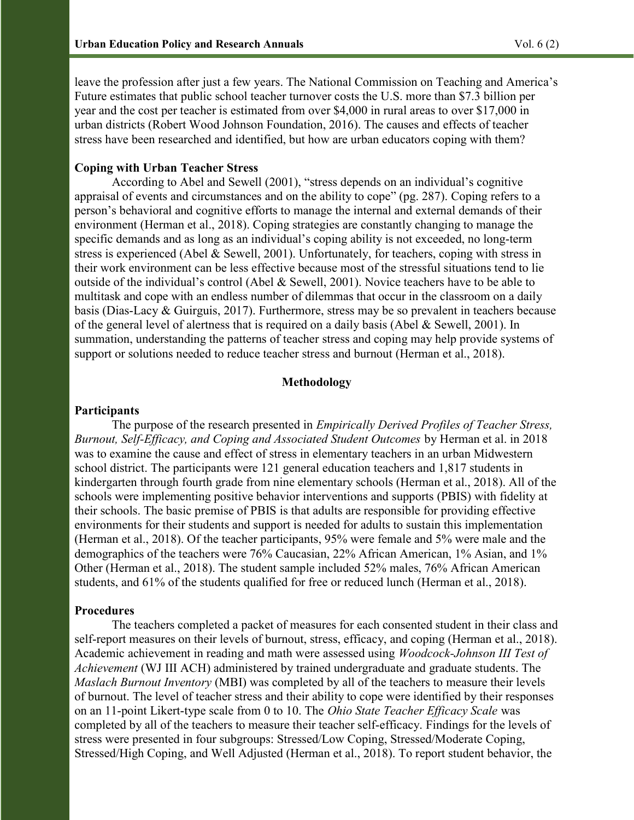leave the profession after just a few years. The National Commission on Teaching and America's Future estimates that public school teacher turnover costs the U.S. more than \$7.3 billion per year and the cost per teacher is estimated from over \$4,000 in rural areas to over \$17,000 in urban districts (Robert Wood Johnson Foundation, 2016). The causes and effects of teacher stress have been researched and identified, but how are urban educators coping with them?

# Coping with Urban Teacher Stress

According to Abel and Sewell (2001), "stress depends on an individual's cognitive appraisal of events and circumstances and on the ability to cope" (pg. 287). Coping refers to a person's behavioral and cognitive efforts to manage the internal and external demands of their environment (Herman et al., 2018). Coping strategies are constantly changing to manage the specific demands and as long as an individual's coping ability is not exceeded, no long-term stress is experienced (Abel & Sewell, 2001). Unfortunately, for teachers, coping with stress in their work environment can be less effective because most of the stressful situations tend to lie outside of the individual's control (Abel & Sewell, 2001). Novice teachers have to be able to multitask and cope with an endless number of dilemmas that occur in the classroom on a daily basis (Dias-Lacy & Guirguis, 2017). Furthermore, stress may be so prevalent in teachers because of the general level of alertness that is required on a daily basis (Abel & Sewell, 2001). In summation, understanding the patterns of teacher stress and coping may help provide systems of support or solutions needed to reduce teacher stress and burnout (Herman et al., 2018).

# Methodology

#### **Participants**

The purpose of the research presented in *Empirically Derived Profiles of Teacher Stress*, Burnout, Self-Efficacy, and Coping and Associated Student Outcomes by Herman et al. in 2018 was to examine the cause and effect of stress in elementary teachers in an urban Midwestern school district. The participants were 121 general education teachers and 1,817 students in kindergarten through fourth grade from nine elementary schools (Herman et al., 2018). All of the schools were implementing positive behavior interventions and supports (PBIS) with fidelity at their schools. The basic premise of PBIS is that adults are responsible for providing effective environments for their students and support is needed for adults to sustain this implementation (Herman et al., 2018). Of the teacher participants, 95% were female and 5% were male and the demographics of the teachers were 76% Caucasian, 22% African American, 1% Asian, and 1% Other (Herman et al., 2018). The student sample included 52% males, 76% African American students, and 61% of the students qualified for free or reduced lunch (Herman et al., 2018).

### Procedures

The teachers completed a packet of measures for each consented student in their class and self-report measures on their levels of burnout, stress, efficacy, and coping (Herman et al., 2018). Academic achievement in reading and math were assessed using Woodcock-Johnson III Test of Achievement (WJ III ACH) administered by trained undergraduate and graduate students. The Maslach Burnout Inventory (MBI) was completed by all of the teachers to measure their levels of burnout. The level of teacher stress and their ability to cope were identified by their responses on an 11-point Likert-type scale from 0 to 10. The Ohio State Teacher Efficacy Scale was completed by all of the teachers to measure their teacher self-efficacy. Findings for the levels of stress were presented in four subgroups: Stressed/Low Coping, Stressed/Moderate Coping, Stressed/High Coping, and Well Adjusted (Herman et al., 2018). To report student behavior, the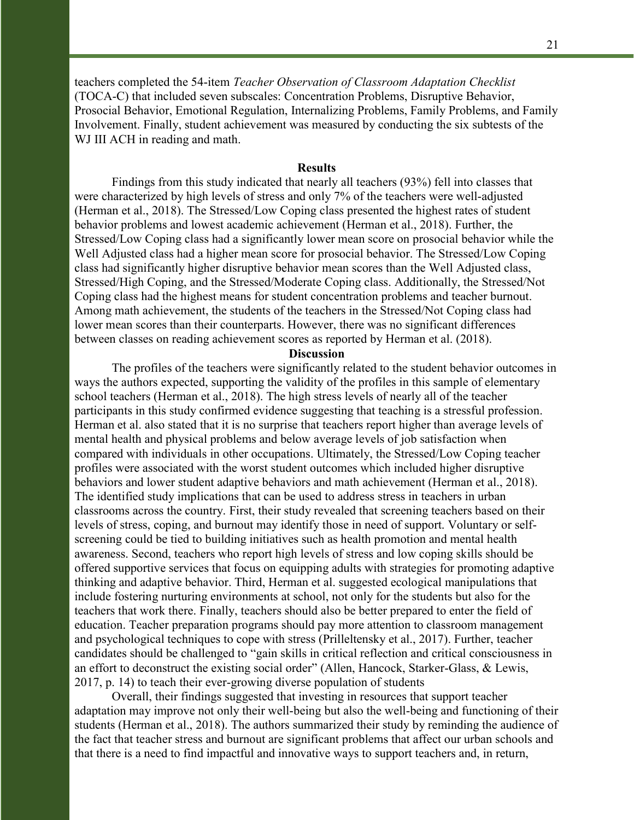teachers completed the 54-item Teacher Observation of Classroom Adaptation Checklist (TOCA-C) that included seven subscales: Concentration Problems, Disruptive Behavior, Prosocial Behavior, Emotional Regulation, Internalizing Problems, Family Problems, and Family Involvement. Finally, student achievement was measured by conducting the six subtests of the WJ III ACH in reading and math.

#### **Results**

 Findings from this study indicated that nearly all teachers (93%) fell into classes that were characterized by high levels of stress and only 7% of the teachers were well-adjusted (Herman et al., 2018). The Stressed/Low Coping class presented the highest rates of student behavior problems and lowest academic achievement (Herman et al., 2018). Further, the Stressed/Low Coping class had a significantly lower mean score on prosocial behavior while the Well Adjusted class had a higher mean score for prosocial behavior. The Stressed/Low Coping class had significantly higher disruptive behavior mean scores than the Well Adjusted class, Stressed/High Coping, and the Stressed/Moderate Coping class. Additionally, the Stressed/Not Coping class had the highest means for student concentration problems and teacher burnout. Among math achievement, the students of the teachers in the Stressed/Not Coping class had lower mean scores than their counterparts. However, there was no significant differences between classes on reading achievement scores as reported by Herman et al. (2018).

## **Discussion**

The profiles of the teachers were significantly related to the student behavior outcomes in ways the authors expected, supporting the validity of the profiles in this sample of elementary school teachers (Herman et al., 2018). The high stress levels of nearly all of the teacher participants in this study confirmed evidence suggesting that teaching is a stressful profession. Herman et al. also stated that it is no surprise that teachers report higher than average levels of mental health and physical problems and below average levels of job satisfaction when compared with individuals in other occupations. Ultimately, the Stressed/Low Coping teacher profiles were associated with the worst student outcomes which included higher disruptive behaviors and lower student adaptive behaviors and math achievement (Herman et al., 2018). The identified study implications that can be used to address stress in teachers in urban classrooms across the country. First, their study revealed that screening teachers based on their levels of stress, coping, and burnout may identify those in need of support. Voluntary or selfscreening could be tied to building initiatives such as health promotion and mental health awareness. Second, teachers who report high levels of stress and low coping skills should be offered supportive services that focus on equipping adults with strategies for promoting adaptive thinking and adaptive behavior. Third, Herman et al. suggested ecological manipulations that include fostering nurturing environments at school, not only for the students but also for the teachers that work there. Finally, teachers should also be better prepared to enter the field of education. Teacher preparation programs should pay more attention to classroom management and psychological techniques to cope with stress (Prilleltensky et al., 2017). Further, teacher candidates should be challenged to "gain skills in critical reflection and critical consciousness in an effort to deconstruct the existing social order" (Allen, Hancock, Starker-Glass, & Lewis, 2017, p. 14) to teach their ever-growing diverse population of students

Overall, their findings suggested that investing in resources that support teacher adaptation may improve not only their well-being but also the well-being and functioning of their students (Herman et al., 2018). The authors summarized their study by reminding the audience of the fact that teacher stress and burnout are significant problems that affect our urban schools and that there is a need to find impactful and innovative ways to support teachers and, in return,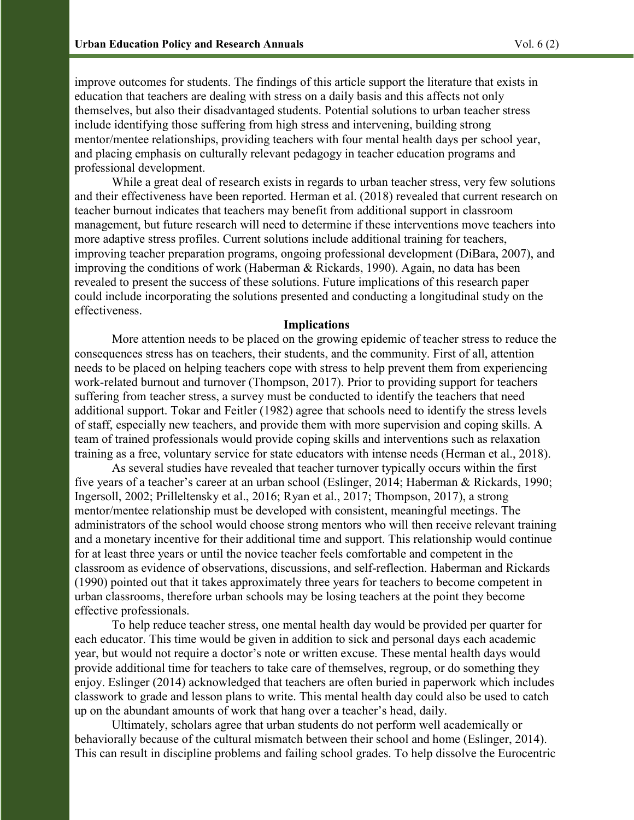improve outcomes for students. The findings of this article support the literature that exists in education that teachers are dealing with stress on a daily basis and this affects not only themselves, but also their disadvantaged students. Potential solutions to urban teacher stress include identifying those suffering from high stress and intervening, building strong mentor/mentee relationships, providing teachers with four mental health days per school year, and placing emphasis on culturally relevant pedagogy in teacher education programs and professional development.

While a great deal of research exists in regards to urban teacher stress, very few solutions and their effectiveness have been reported. Herman et al. (2018) revealed that current research on teacher burnout indicates that teachers may benefit from additional support in classroom management, but future research will need to determine if these interventions move teachers into more adaptive stress profiles. Current solutions include additional training for teachers, improving teacher preparation programs, ongoing professional development (DiBara, 2007), and improving the conditions of work (Haberman & Rickards, 1990). Again, no data has been revealed to present the success of these solutions. Future implications of this research paper could include incorporating the solutions presented and conducting a longitudinal study on the effectiveness.

### Implications

More attention needs to be placed on the growing epidemic of teacher stress to reduce the consequences stress has on teachers, their students, and the community. First of all, attention needs to be placed on helping teachers cope with stress to help prevent them from experiencing work-related burnout and turnover (Thompson, 2017). Prior to providing support for teachers suffering from teacher stress, a survey must be conducted to identify the teachers that need additional support. Tokar and Feitler (1982) agree that schools need to identify the stress levels of staff, especially new teachers, and provide them with more supervision and coping skills. A team of trained professionals would provide coping skills and interventions such as relaxation training as a free, voluntary service for state educators with intense needs (Herman et al., 2018).

 As several studies have revealed that teacher turnover typically occurs within the first five years of a teacher's career at an urban school (Eslinger, 2014; Haberman & Rickards, 1990; Ingersoll, 2002; Prilleltensky et al., 2016; Ryan et al., 2017; Thompson, 2017), a strong mentor/mentee relationship must be developed with consistent, meaningful meetings. The administrators of the school would choose strong mentors who will then receive relevant training and a monetary incentive for their additional time and support. This relationship would continue for at least three years or until the novice teacher feels comfortable and competent in the classroom as evidence of observations, discussions, and self-reflection. Haberman and Rickards (1990) pointed out that it takes approximately three years for teachers to become competent in urban classrooms, therefore urban schools may be losing teachers at the point they become effective professionals.

 To help reduce teacher stress, one mental health day would be provided per quarter for each educator. This time would be given in addition to sick and personal days each academic year, but would not require a doctor's note or written excuse. These mental health days would provide additional time for teachers to take care of themselves, regroup, or do something they enjoy. Eslinger (2014) acknowledged that teachers are often buried in paperwork which includes classwork to grade and lesson plans to write. This mental health day could also be used to catch up on the abundant amounts of work that hang over a teacher's head, daily.

 Ultimately, scholars agree that urban students do not perform well academically or behaviorally because of the cultural mismatch between their school and home (Eslinger, 2014). This can result in discipline problems and failing school grades. To help dissolve the Eurocentric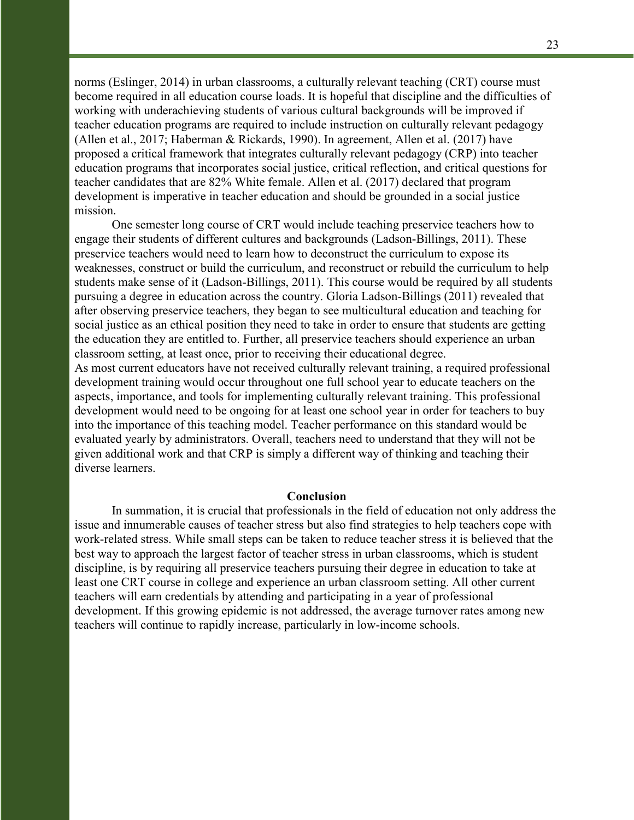norms (Eslinger, 2014) in urban classrooms, a culturally relevant teaching (CRT) course must become required in all education course loads. It is hopeful that discipline and the difficulties of working with underachieving students of various cultural backgrounds will be improved if teacher education programs are required to include instruction on culturally relevant pedagogy (Allen et al., 2017; Haberman & Rickards, 1990). In agreement, Allen et al. (2017) have proposed a critical framework that integrates culturally relevant pedagogy (CRP) into teacher education programs that incorporates social justice, critical reflection, and critical questions for teacher candidates that are 82% White female. Allen et al. (2017) declared that program development is imperative in teacher education and should be grounded in a social justice mission.

One semester long course of CRT would include teaching preservice teachers how to engage their students of different cultures and backgrounds (Ladson-Billings, 2011). These preservice teachers would need to learn how to deconstruct the curriculum to expose its weaknesses, construct or build the curriculum, and reconstruct or rebuild the curriculum to help students make sense of it (Ladson-Billings, 2011). This course would be required by all students pursuing a degree in education across the country. Gloria Ladson-Billings (2011) revealed that after observing preservice teachers, they began to see multicultural education and teaching for social justice as an ethical position they need to take in order to ensure that students are getting the education they are entitled to. Further, all preservice teachers should experience an urban classroom setting, at least once, prior to receiving their educational degree.

As most current educators have not received culturally relevant training, a required professional development training would occur throughout one full school year to educate teachers on the aspects, importance, and tools for implementing culturally relevant training. This professional development would need to be ongoing for at least one school year in order for teachers to buy into the importance of this teaching model. Teacher performance on this standard would be evaluated yearly by administrators. Overall, teachers need to understand that they will not be given additional work and that CRP is simply a different way of thinking and teaching their diverse learners.

### Conclusion

 In summation, it is crucial that professionals in the field of education not only address the issue and innumerable causes of teacher stress but also find strategies to help teachers cope with work-related stress. While small steps can be taken to reduce teacher stress it is believed that the best way to approach the largest factor of teacher stress in urban classrooms, which is student discipline, is by requiring all preservice teachers pursuing their degree in education to take at least one CRT course in college and experience an urban classroom setting. All other current teachers will earn credentials by attending and participating in a year of professional development. If this growing epidemic is not addressed, the average turnover rates among new teachers will continue to rapidly increase, particularly in low-income schools.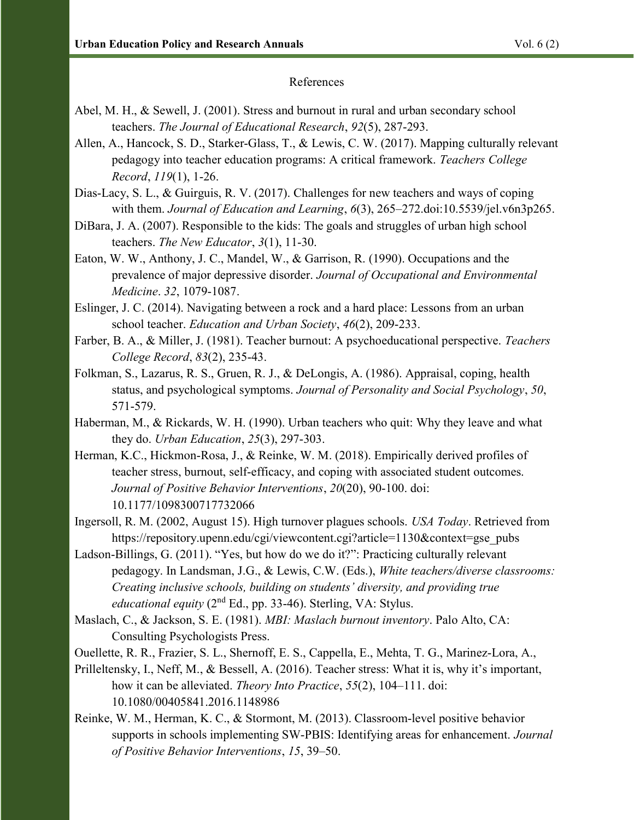# References

- Abel, M. H., & Sewell, J. (2001). Stress and burnout in rural and urban secondary school teachers. The Journal of Educational Research, 92(5), 287-293.
- Allen, A., Hancock, S. D., Starker-Glass, T., & Lewis, C. W. (2017). Mapping culturally relevant pedagogy into teacher education programs: A critical framework. Teachers College Record, 119(1), 1-26.
- Dias-Lacy, S. L., & Guirguis, R. V. (2017). Challenges for new teachers and ways of coping with them. *Journal of Education and Learning*, 6(3), 265–272.doi:10.5539/jel.v6n3p265.
- DiBara, J. A. (2007). Responsible to the kids: The goals and struggles of urban high school teachers. The New Educator, 3(1), 11-30.
- Eaton, W. W., Anthony, J. C., Mandel, W., & Garrison, R. (1990). Occupations and the prevalence of major depressive disorder. Journal of Occupational and Environmental Medicine. 32, 1079-1087.
- Eslinger, J. C. (2014). Navigating between a rock and a hard place: Lessons from an urban school teacher. Education and Urban Society, 46(2), 209-233.
- Farber, B. A., & Miller, J. (1981). Teacher burnout: A psychoeducational perspective. Teachers College Record, 83(2), 235-43.
- Folkman, S., Lazarus, R. S., Gruen, R. J., & DeLongis, A. (1986). Appraisal, coping, health status, and psychological symptoms. Journal of Personality and Social Psychology, 50, 571-579.
- Haberman, M., & Rickards, W. H. (1990). Urban teachers who quit: Why they leave and what they do. Urban Education, 25(3), 297-303.
- Herman, K.C., Hickmon-Rosa, J., & Reinke, W. M. (2018). Empirically derived profiles of teacher stress, burnout, self-efficacy, and coping with associated student outcomes. Journal of Positive Behavior Interventions, 20(20), 90-100. doi: 10.1177/1098300717732066
- Ingersoll, R. M. (2002, August 15). High turnover plagues schools. USA Today. Retrieved from https://repository.upenn.edu/cgi/viewcontent.cgi?article=1130&context=gse\_pubs
- Ladson-Billings, G. (2011). "Yes, but how do we do it?": Practicing culturally relevant pedagogy. In Landsman, J.G., & Lewis, C.W. (Eds.), White teachers/diverse classrooms: Creating inclusive schools, building on students' diversity, and providing true educational equity  $(2<sup>nd</sup> Ed., pp. 33-46)$ . Sterling, VA: Stylus.
- Maslach, C., & Jackson, S. E. (1981). MBI: Maslach burnout inventory. Palo Alto, CA: Consulting Psychologists Press.
- Ouellette, R. R., Frazier, S. L., Shernoff, E. S., Cappella, E., Mehta, T. G., Marinez-Lora, A.,
- Prilleltensky, I., Neff, M., & Bessell, A. (2016). Teacher stress: What it is, why it's important, how it can be alleviated. *Theory Into Practice*, 55(2), 104–111. doi: 10.1080/00405841.2016.1148986
- Reinke, W. M., Herman, K. C., & Stormont, M. (2013). Classroom-level positive behavior supports in schools implementing SW-PBIS: Identifying areas for enhancement. Journal of Positive Behavior Interventions, 15, 39–50.